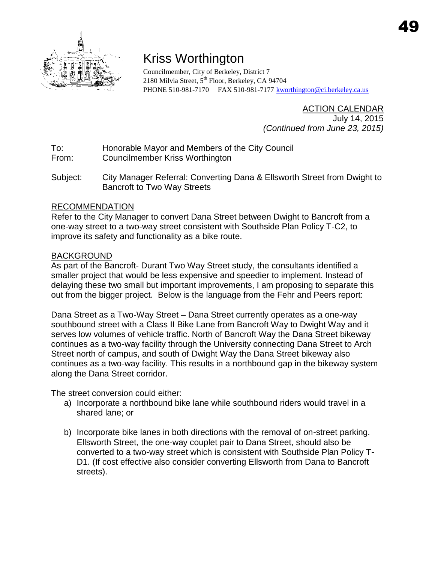

# Kriss Worthington

Councilmember, City of Berkeley, District 7 2180 Milvia Street, 5<sup>th</sup> Floor, Berkeley, CA 94704 PHONE 510-981-7170 FAX 510-981-7177 [kworthington@ci.berkeley.ca.us](mailto:kworthington@ci.berkeley.ca.us)

## ACTION CALENDAR

 July 14, 2015 *(Continued from June 23, 2015)*

- To: Honorable Mayor and Members of the City Council
- From: Councilmember Kriss Worthington
- Subject: City Manager Referral: Converting Dana & Ellsworth Street from Dwight to Bancroft to Two Way Streets

# RECOMMENDATION

Refer to the City Manager to convert Dana Street between Dwight to Bancroft from a one-way street to a two-way street consistent with Southside Plan Policy T-C2, to improve its safety and functionality as a bike route.

# BACKGROUND

As part of the Bancroft- Durant Two Way Street study, the consultants identified a smaller project that would be less expensive and speedier to implement. Instead of delaying these two small but important improvements, I am proposing to separate this out from the bigger project. Below is the language from the Fehr and Peers report:

Dana Street as a Two-Way Street – Dana Street currently operates as a one-way southbound street with a Class II Bike Lane from Bancroft Way to Dwight Way and it serves low volumes of vehicle traffic. North of Bancroft Way the Dana Street bikeway continues as a two-way facility through the University connecting Dana Street to Arch Street north of campus, and south of Dwight Way the Dana Street bikeway also continues as a two-way facility. This results in a northbound gap in the bikeway system along the Dana Street corridor.

The street conversion could either:

- a) Incorporate a northbound bike lane while southbound riders would travel in a shared lane; or
- b) Incorporate bike lanes in both directions with the removal of on-street parking. Ellsworth Street, the one-way couplet pair to Dana Street, should also be converted to a two-way street which is consistent with Southside Plan Policy T-D1. (If cost effective also consider converting Ellsworth from Dana to Bancroft streets).